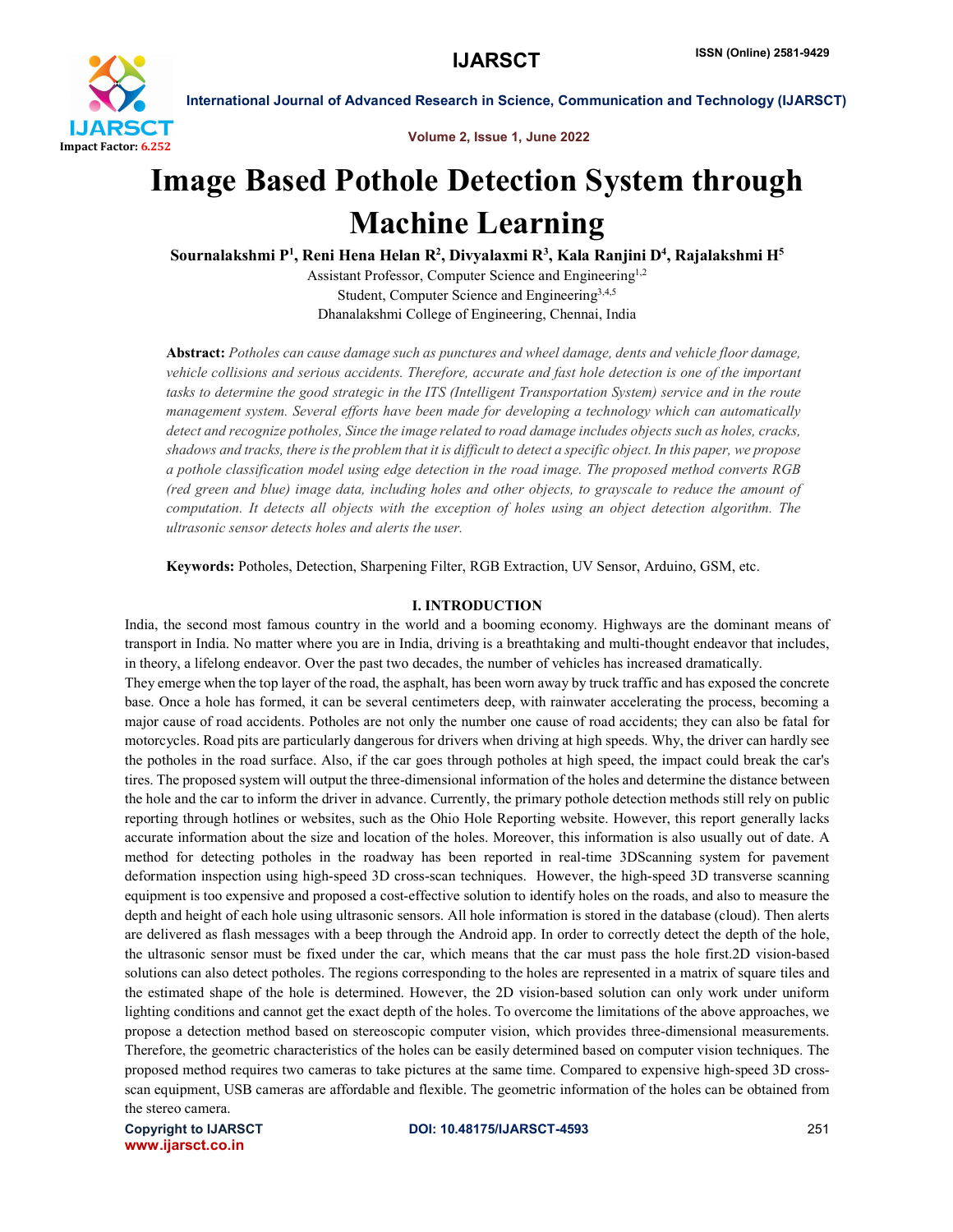

Volume 2, Issue 1, June 2022

# Image Based Pothole Detection System through Machine Learning

Sournalakshmi P<sup>1</sup>, Reni Hena Helan R<sup>2</sup>, Divyalaxmi R<sup>3</sup>, Kala Ranjini D<sup>4</sup>, Rajalakshmi H<sup>5</sup>

Assistant Professor, Computer Science and Engineering<sup>1,2</sup> Student, Computer Science and Engineering3,4,5 Dhanalakshmi College of Engineering, Chennai, India

Abstract: *Potholes can cause damage such as punctures and wheel damage, dents and vehicle floor damage, vehicle collisions and serious accidents. Therefore, accurate and fast hole detection is one of the important* tasks to determine the good strategic in the ITS (Intelligent Transportation System) service and in the route *management system. Several efforts have been made for developing a technology which can automatically* detect and recognize potholes, Since the image related to road damage includes objects such as holes, cracks, shadows and tracks, there is the problem that it is difficult to detect a specific object. In this paper, we propose *a pothole classification model using edge detection in the road image. The proposed method converts RGB* (red green and blue) image data, including holes and other objects, to grayscale to reduce the amount of *computation. It detects all objects with the exception of holes using an object detection algorithm. The ultrasonic sensor detects holes and alerts the user.*

Keywords: Potholes, Detection, Sharpening Filter, RGB Extraction, UV Sensor, Arduino, GSM, etc.

# I. INTRODUCTION

India, the second most famous country in the world and a booming economy. Highways are the dominant means of transport in India. No matter where you are in India, driving is a breathtaking and multi-thought endeavor that includes, in theory, a lifelong endeavor. Over the past two decades, the number of vehicles has increased dramatically.

They emerge when the top layer of the road, the asphalt, has been worn away by truck traffic and has exposed the concrete base. Once a hole has formed, it can be several centimeters deep, with rainwater accelerating the process, becoming a major cause of road accidents. Potholes are not only the number one cause of road accidents; they can also be fatal for motorcycles. Road pits are particularly dangerous for drivers when driving at high speeds. Why, the driver can hardly see the potholes in the road surface. Also, if the car goes through potholes at high speed, the impact could break the car's tires. The proposed system will output the three-dimensional information of the holes and determine the distance between the hole and the car to inform the driver in advance. Currently, the primary pothole detection methods still rely on public reporting through hotlines or websites, such as the Ohio Hole Reporting website. However, this report generally lacks accurate information about the size and location of the holes. Moreover, this information is also usually out of date. A method for detecting potholes in the roadway has been reported in real-time 3DScanning system for pavement deformation inspection using high-speed 3D cross-scan techniques. However, the high-speed 3D transverse scanning equipment is too expensive and proposed a cost-effective solution to identify holes on the roads, and also to measure the depth and height of each hole using ultrasonic sensors. All hole information is stored in the database (cloud). Then alerts are delivered as flash messages with a beep through the Android app. In order to correctly detect the depth of the hole, the ultrasonic sensor must be fixed under the car, which means that the car must pass the hole first.2D vision-based solutions can also detect potholes. The regions corresponding to the holes are represented in a matrix of square tiles and the estimated shape of the hole is determined. However, the 2D vision-based solution can only work under uniform lighting conditions and cannot get the exact depth of the holes. To overcome the limitations of the above approaches, we propose a detection method based on stereoscopic computer vision, which provides three-dimensional measurements. Therefore, the geometric characteristics of the holes can be easily determined based on computer vision techniques. The proposed method requires two cameras to take pictures at the same time. Compared to expensive high-speed 3D crossscan equipment, USB cameras are affordable and flexible. The geometric information of the holes can be obtained from the stereo camera.

www.ijarsct.co.in

Copyright to IJARSCT **DOI: 10.48175/IJARSCT-4593** 251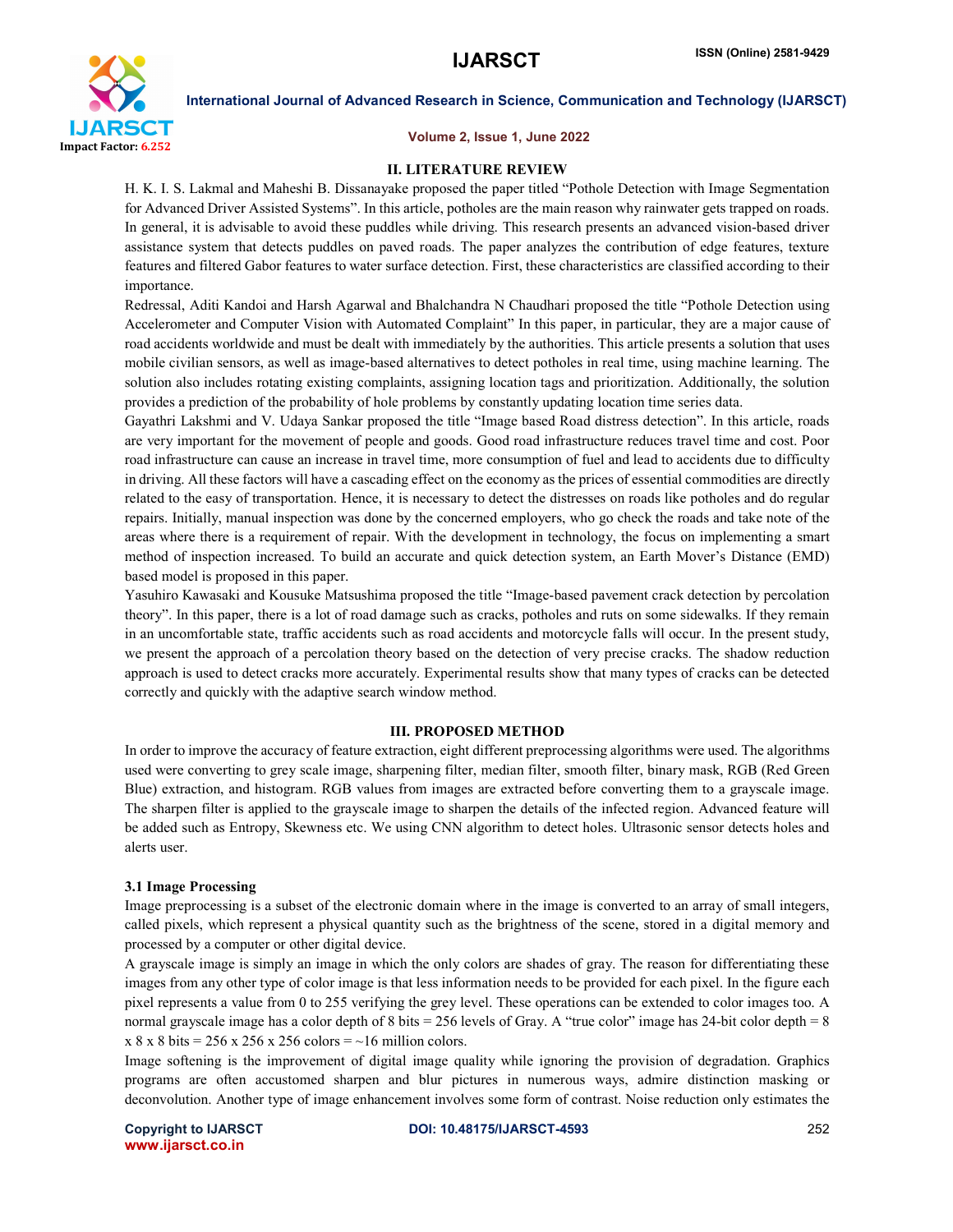

### Volume 2, Issue 1, June 2022

### II. LITERATURE REVIEW

H. K. I. S. Lakmal and Maheshi B. Dissanayake proposed the paper titled "Pothole Detection with Image Segmentation for Advanced Driver Assisted Systems". In this article, potholes are the main reason why rainwater gets trapped on roads. In general, it is advisable to avoid these puddles while driving. This research presents an advanced vision-based driver assistance system that detects puddles on paved roads. The paper analyzes the contribution of edge features, texture features and filtered Gabor features to water surface detection. First, these characteristics are classified according to their importance.

Redressal, Aditi Kandoi and Harsh Agarwal and Bhalchandra N Chaudhari proposed the title "Pothole Detection using Accelerometer and Computer Vision with Automated Complaint" In this paper, in particular, they are a major cause of road accidents worldwide and must be dealt with immediately by the authorities. This article presents a solution that uses mobile civilian sensors, as well as image-based alternatives to detect potholes in real time, using machine learning. The solution also includes rotating existing complaints, assigning location tags and prioritization. Additionally, the solution provides a prediction of the probability of hole problems by constantly updating location time series data.

Gayathri Lakshmi and V. Udaya Sankar proposed the title "Image based Road distress detection". In this article, roads are very important for the movement of people and goods. Good road infrastructure reduces travel time and cost. Poor road infrastructure can cause an increase in travel time, more consumption of fuel and lead to accidents due to difficulty in driving. All these factors will have a cascading effect on the economy as the prices of essential commodities are directly related to the easy of transportation. Hence, it is necessary to detect the distresses on roads like potholes and do regular repairs. Initially, manual inspection was done by the concerned employers, who go check the roads and take note of the areas where there is a requirement of repair. With the development in technology, the focus on implementing a smart method of inspection increased. To build an accurate and quick detection system, an Earth Mover's Distance (EMD) based model is proposed in this paper.

Yasuhiro Kawasaki and Kousuke Matsushima proposed the title "Image-based pavement crack detection by percolation theory". In this paper, there is a lot of road damage such as cracks, potholes and ruts on some sidewalks. If they remain in an uncomfortable state, traffic accidents such as road accidents and motorcycle falls will occur. In the present study, we present the approach of a percolation theory based on the detection of very precise cracks. The shadow reduction approach is used to detect cracks more accurately. Experimental results show that many types of cracks can be detected correctly and quickly with the adaptive search window method.

# III. PROPOSED METHOD

In order to improve the accuracy of feature extraction, eight different preprocessing algorithms were used. The algorithms used were converting to grey scale image, sharpening filter, median filter, smooth filter, binary mask, RGB (Red Green Blue) extraction, and histogram. RGB values from images are extracted before converting them to a grayscale image. The sharpen filter is applied to the grayscale image to sharpen the details of the infected region. Advanced feature will be added such as Entropy, Skewness etc. We using CNN algorithm to detect holes. Ultrasonic sensor detects holes and alerts user.

#### 3.1 Image Processing

Image preprocessing is a subset of the electronic domain where in the image is converted to an array of small integers, called pixels, which represent a physical quantity such as the brightness of the scene, stored in a digital memory and processed by a computer or other digital device.

A grayscale image is simply an image in which the only colors are shades of gray. The reason for differentiating these images from any other type of color image is that less information needs to be provided for each pixel. In the figure each pixel represents a value from 0 to 255 verifying the grey level. These operations can be extended to color images too. A normal grayscale image has a color depth of 8 bits = 256 levels of Gray. A "true color" image has 24-bit color depth = 8  $x 8 x 8 \text{ bits} = 256 x 256 x 256 \text{ colors} = -16 \text{ million colors}.$ 

Image softening is the improvement of digital image quality while ignoring the provision of degradation. Graphics programs are often accustomed sharpen and blur pictures in numerous ways, admire distinction masking or deconvolution. Another type of image enhancement involves some form of contrast. Noise reduction only estimates the

www.ijarsct.co.in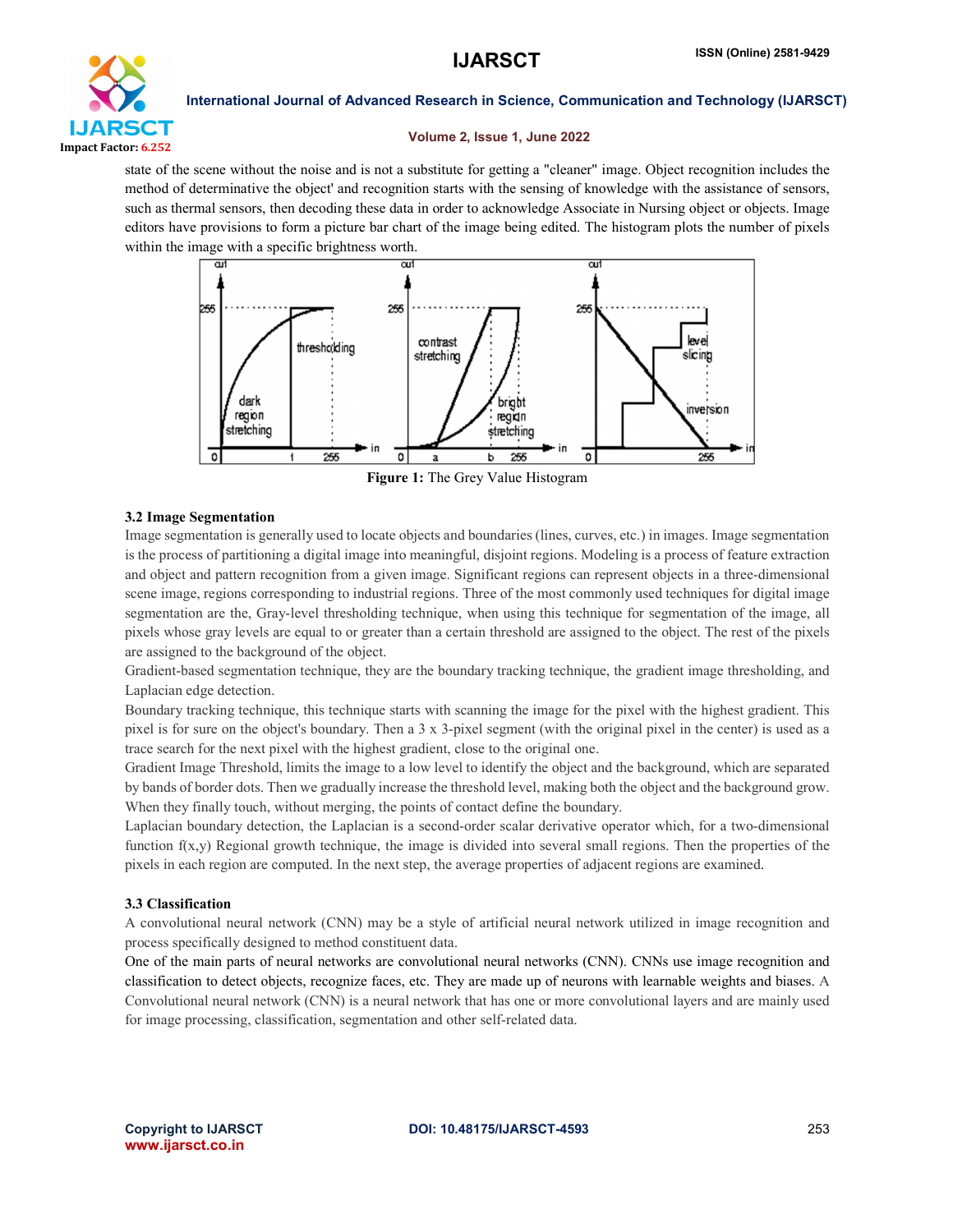

# Volume 2, Issue 1, June 2022

state of the scene without the noise and is not a substitute for getting a "cleaner" image. Object recognition includes the method of determinative the object' and recognition starts with the sensing of knowledge with the assistance of sensors, such as thermal sensors, then decoding these data in order to acknowledge Associate in Nursing object or objects. Image editors have provisions to form a picture bar chart of the image being edited. The histogram plots the number of pixels within the image with a specific brightness worth.



Figure 1: The Grey Value Histogram

# 3.2 Image Segmentation

Image segmentation is generally used to locate objects and boundaries (lines, curves, etc.) in images. Image segmentation is the process of partitioning a digital image into meaningful, disjoint regions. Modeling is a process of feature extraction and object and pattern recognition from a given image. Significant regions can represent objects in a three-dimensional scene image, regions corresponding to industrial regions. Three of the most commonly used techniques for digital image segmentation are the, Gray-level thresholding technique, when using this technique for segmentation of the image, all pixels whose gray levels are equal to or greater than a certain threshold are assigned to the object. The rest of the pixels are assigned to the background of the object.

Gradient-based segmentation technique, they are the boundary tracking technique, the gradient image thresholding, and Laplacian edge detection.

Boundary tracking technique, this technique starts with scanning the image for the pixel with the highest gradient. This pixel is for sure on the object's boundary. Then a 3 x 3-pixel segment (with the original pixel in the center) is used as a trace search for the next pixel with the highest gradient, close to the original one.

Gradient Image Threshold, limits the image to a low level to identify the object and the background, which are separated by bands of border dots. Then we gradually increase the threshold level, making both the object and the background grow. When they finally touch, without merging, the points of contact define the boundary.

Laplacian boundary detection, the Laplacian is a second-order scalar derivative operator which, for a two-dimensional function  $f(x,y)$  Regional growth technique, the image is divided into several small regions. Then the properties of the pixels in each region are computed. In the next step, the average properties of adjacent regions are examined.

# 3.3 Classification

A convolutional neural network (CNN) may be a style of artificial neural network utilized in image recognition and process specifically designed to method constituent data.

One of the main parts of neural networks are convolutional neural networks (CNN). CNNs use image recognition and classification to detect objects, recognize faces, etc. They are made up of neurons with learnable weights and biases. A Convolutional neural network (CNN) is a neural network that has one or more convolutional layers and are mainly used for image processing, classification, segmentation and other self-related data.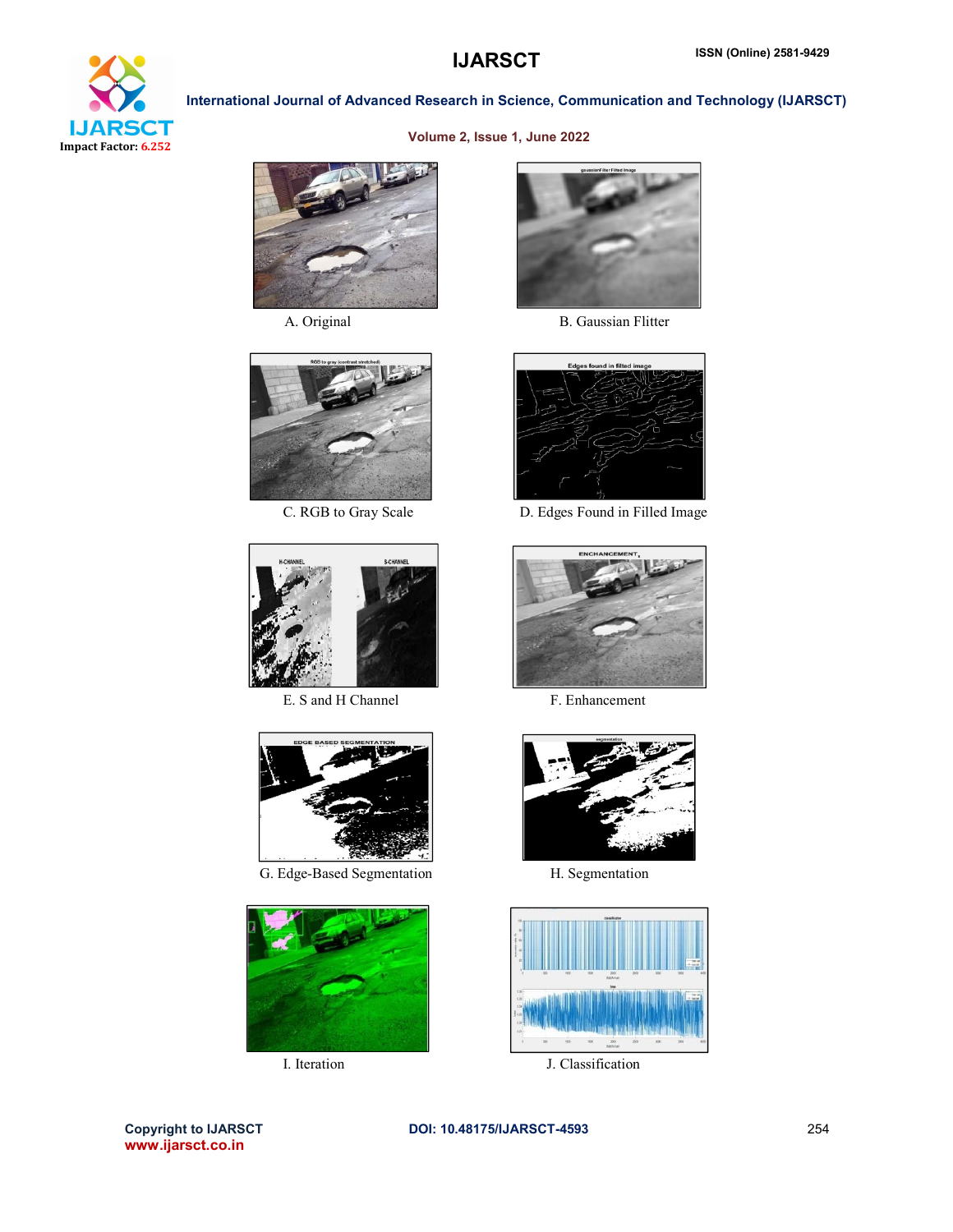

# Volume 2, Issue 1, June 2022







E. S and H Channel F. Enhancement



G. Edge-Based Segmentation H. Segmentation





A. Original B. Gaussian Flitter



C. RGB to Gray Scale D. Edges Found in Filled Image







I. Iteration J. Classification

www.ijarsct.co.in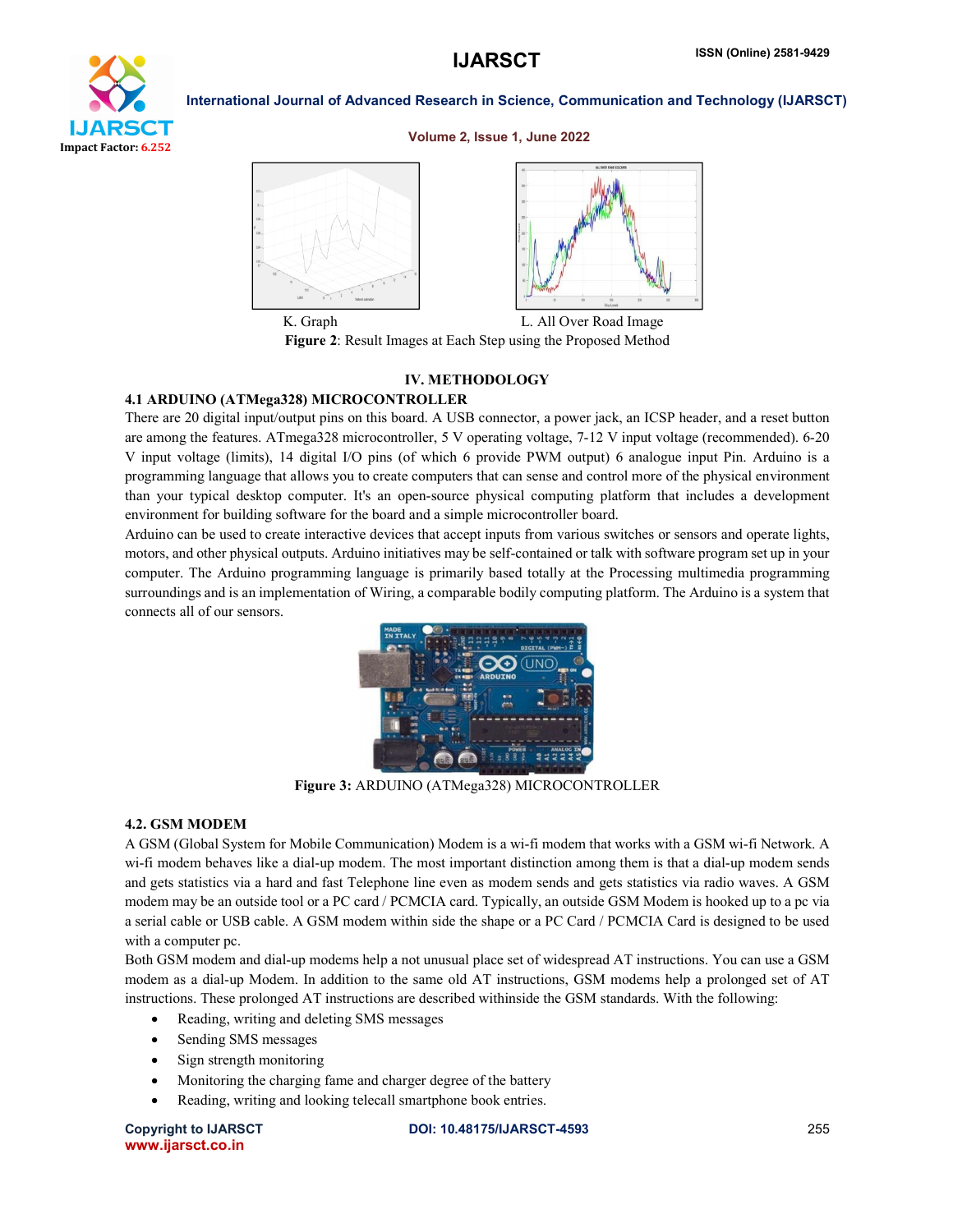

#### Volume 2, Issue 1, June 2022



K. Graph L. All Over Road Image Figure 2: Result Images at Each Step using the Proposed Method

# IV. METHODOLOGY

# 4.1 ARDUINO (ATMega328) MICROCONTROLLER

There are 20 digital input/output pins on this board. A USB connector, a power jack, an ICSP header, and a reset button are among the features. ATmega328 microcontroller, 5 V operating voltage, 7-12 V input voltage (recommended). 6-20 V input voltage (limits), 14 digital I/O pins (of which 6 provide PWM output) 6 analogue input Pin. Arduino is a programming language that allows you to create computers that can sense and control more of the physical environment than your typical desktop computer. It's an open-source physical computing platform that includes a development environment for building software for the board and a simple microcontroller board.

Arduino can be used to create interactive devices that accept inputs from various switches or sensors and operate lights, motors, and other physical outputs. Arduino initiatives may be self-contained or talk with software program set up in your computer. The Arduino programming language is primarily based totally at the Processing multimedia programming surroundings and is an implementation of Wiring, a comparable bodily computing platform. The Arduino is a system that connects all of our sensors.



Figure 3: ARDUINO (ATMega328) MICROCONTROLLER

### 4.2. GSM MODEM

A GSM (Global System for Mobile Communication) Modem is a wi-fi modem that works with a GSM wi-fi Network. A wi-fi modem behaves like a dial-up modem. The most important distinction among them is that a dial-up modem sends and gets statistics via a hard and fast Telephone line even as modem sends and gets statistics via radio waves. A GSM modem may be an outside tool or a PC card / PCMCIA card. Typically, an outside GSM Modem is hooked up to a pc via a serial cable or USB cable. A GSM modem within side the shape or a PC Card / PCMCIA Card is designed to be used with a computer pc.

Both GSM modem and dial-up modems help a not unusual place set of widespread AT instructions. You can use a GSM modem as a dial-up Modem. In addition to the same old AT instructions, GSM modems help a prolonged set of AT instructions. These prolonged AT instructions are described withinside the GSM standards. With the following:

- Reading, writing and deleting SMS messages
- Sending SMS messages
- Sign strength monitoring
- Monitoring the charging fame and charger degree of the battery
- Reading, writing and looking telecall smartphone book entries.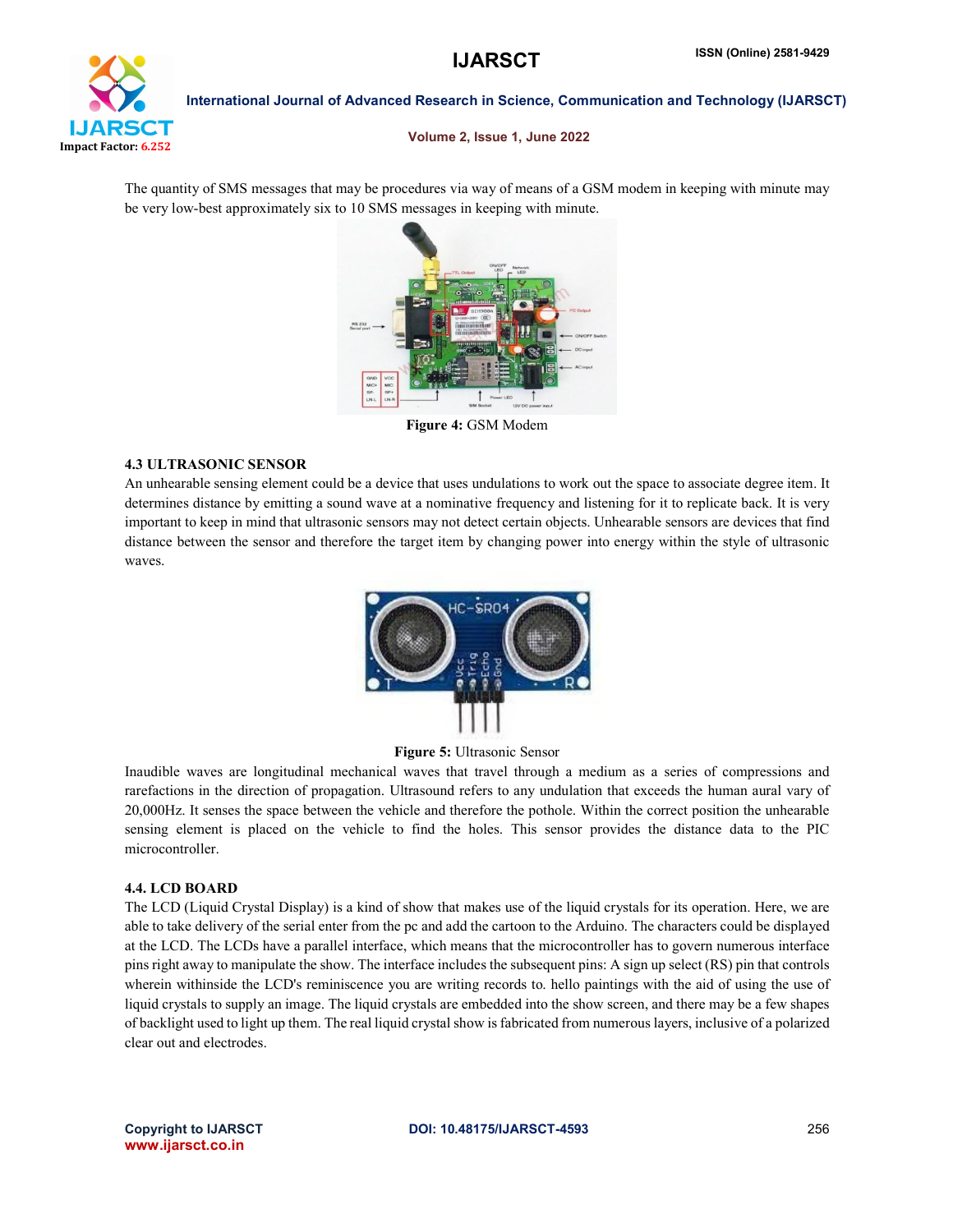

Volume 2, Issue 1, June 2022

The quantity of SMS messages that may be procedures via way of means of a GSM modem in keeping with minute may be very low-best approximately six to 10 SMS messages in keeping with minute.



Figure 4: GSM Modem

# 4.3 ULTRASONIC SENSOR

An unhearable sensing element could be a device that uses undulations to work out the space to associate degree item. It determines distance by emitting a sound wave at a nominative frequency and listening for it to replicate back. It is very important to keep in mind that ultrasonic sensors may not detect certain objects. Unhearable sensors are devices that find distance between the sensor and therefore the target item by changing power into energy within the style of ultrasonic waves.



# Figure 5: Ultrasonic Sensor

Inaudible waves are longitudinal mechanical waves that travel through a medium as a series of compressions and rarefactions in the direction of propagation. Ultrasound refers to any undulation that exceeds the human aural vary of 20,000Hz. It senses the space between the vehicle and therefore the pothole. Within the correct position the unhearable sensing element is placed on the vehicle to find the holes. This sensor provides the distance data to the PIC microcontroller.

# 4.4. LCD BOARD

The LCD (Liquid Crystal Display) is a kind of show that makes use of the liquid crystals for its operation. Here, we are able to take delivery of the serial enter from the pc and add the cartoon to the Arduino. The characters could be displayed at the LCD. The LCDs have a parallel interface, which means that the microcontroller has to govern numerous interface pins right away to manipulate the show. The interface includes the subsequent pins: A sign up select (RS) pin that controls wherein withinside the LCD's reminiscence you are writing records to. hello paintings with the aid of using the use of liquid crystals to supply an image. The liquid crystals are embedded into the show screen, and there may be a few shapes of backlight used to light up them. The real liquid crystal show isfabricated from numerous layers, inclusive of a polarized clear out and electrodes.

www.ijarsct.co.in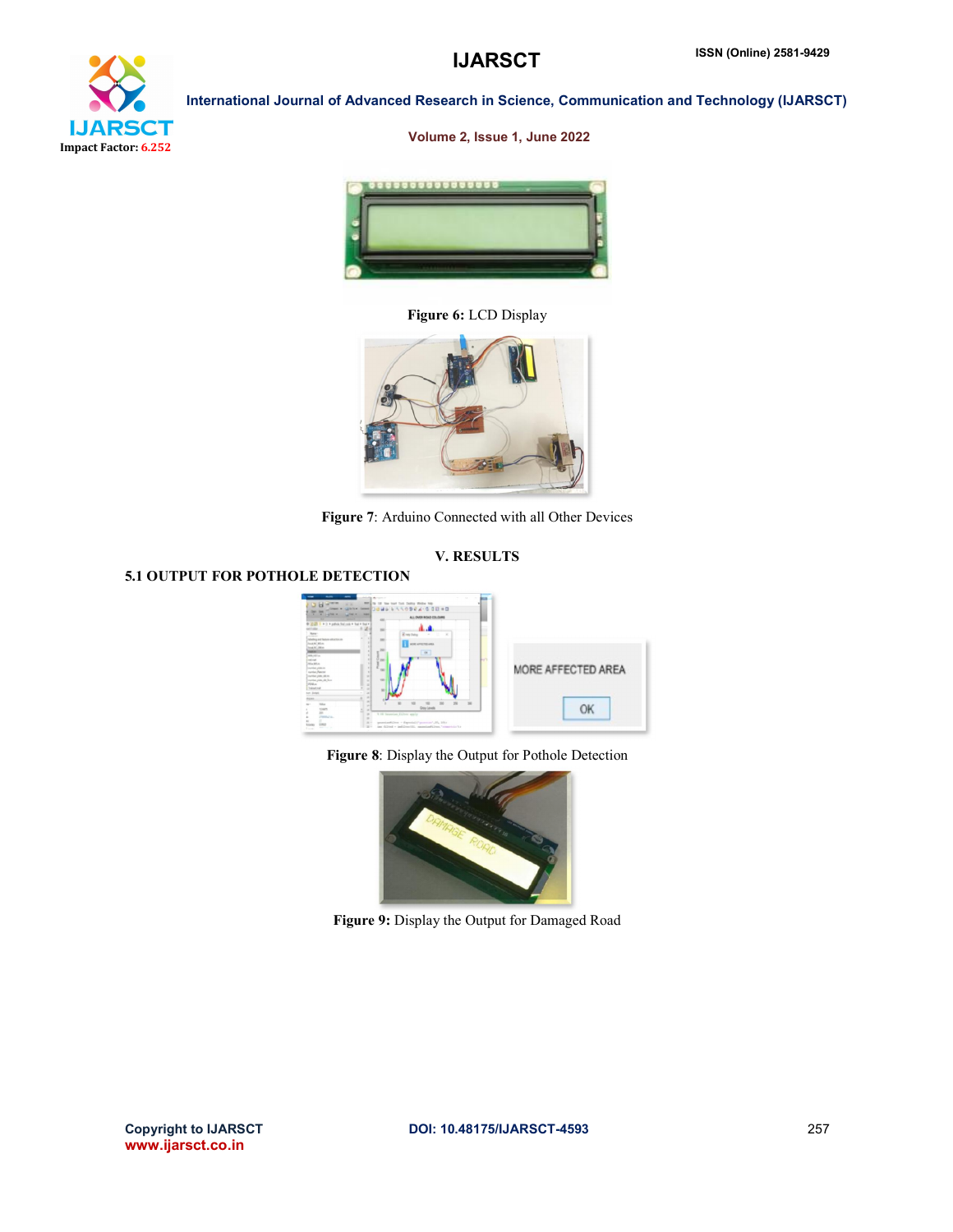

# Volume 2, Issue 1, June 2022



Figure 6: LCD Display



Figure 7: Arduino Connected with all Other Devices

# V. RESULTS

# 5.1 OUTPUT FOR POTHOLE DETECTION



Figure 8: Display the Output for Pothole Detection



Figure 9: Display the Output for Damaged Road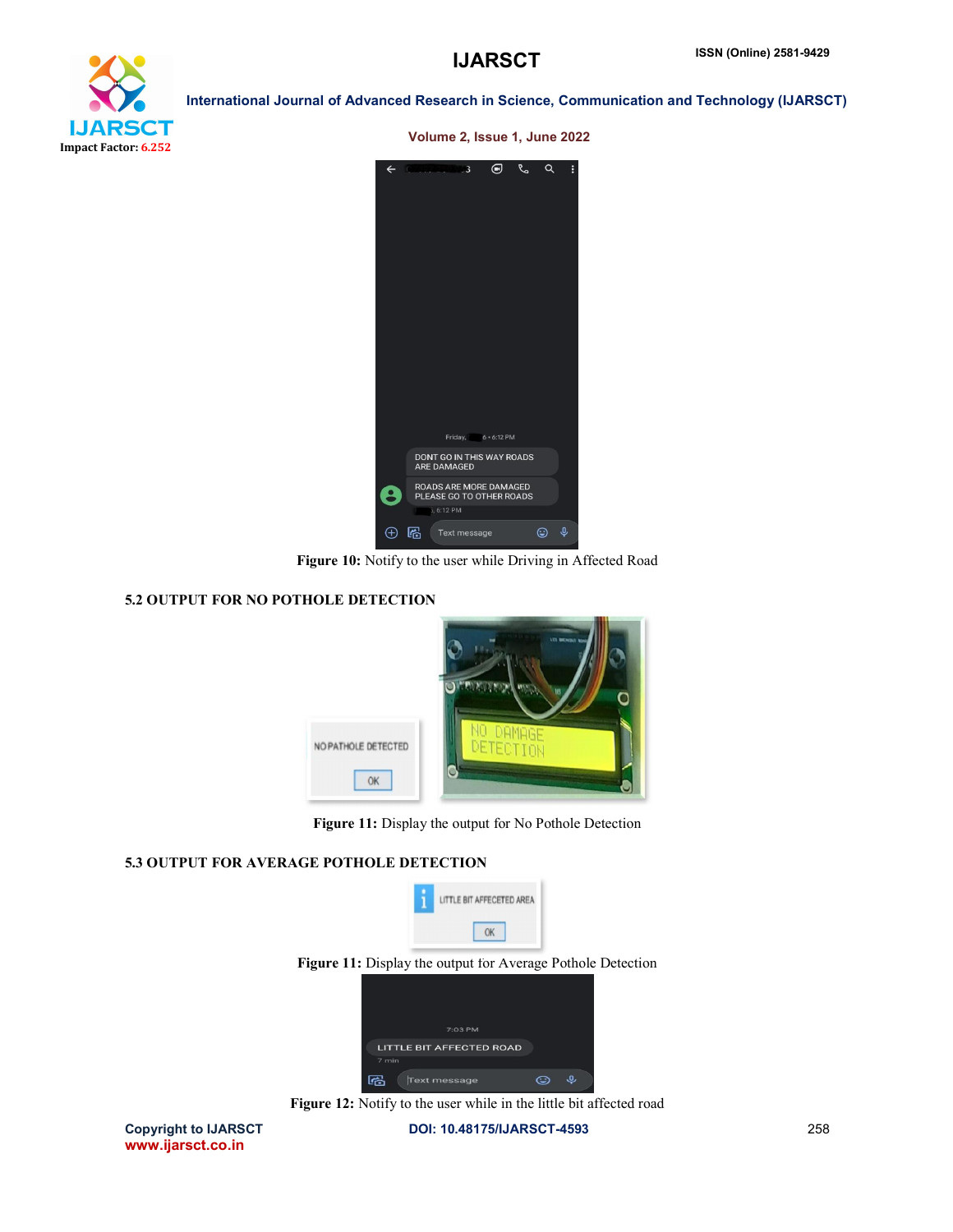

Volume 2, Issue 1, June 2022

| $\leftarrow$ | ⊝<br>$\mathbf{B}$<br>ĿО                                          | Q | Q | E |
|--------------|------------------------------------------------------------------|---|---|---|
|              | Friday, 6 . 6:12 PM                                              |   |   |   |
|              | DONT GO IN THIS WAY ROADS<br><b>ARE DAMAGED</b>                  |   |   |   |
| $\bullet$    | ROADS ARE MORE DAMAGED<br>PLEASE GO TO OTHER ROADS<br>5, 6:12 PM |   |   |   |
| Œ            | 圈<br><b>Text message</b>                                         |   | ☺ | ه |

Figure 10: Notify to the user while Driving in Affected Road

# 5.2 OUTPUT FOR NO POTHOLE DETECTION



Figure 11: Display the output for No Pothole Detection

# 5.3 OUTPUT FOR AVERAGE POTHOLE DETECTION





Figure 12: Notify to the user while in the little bit affected road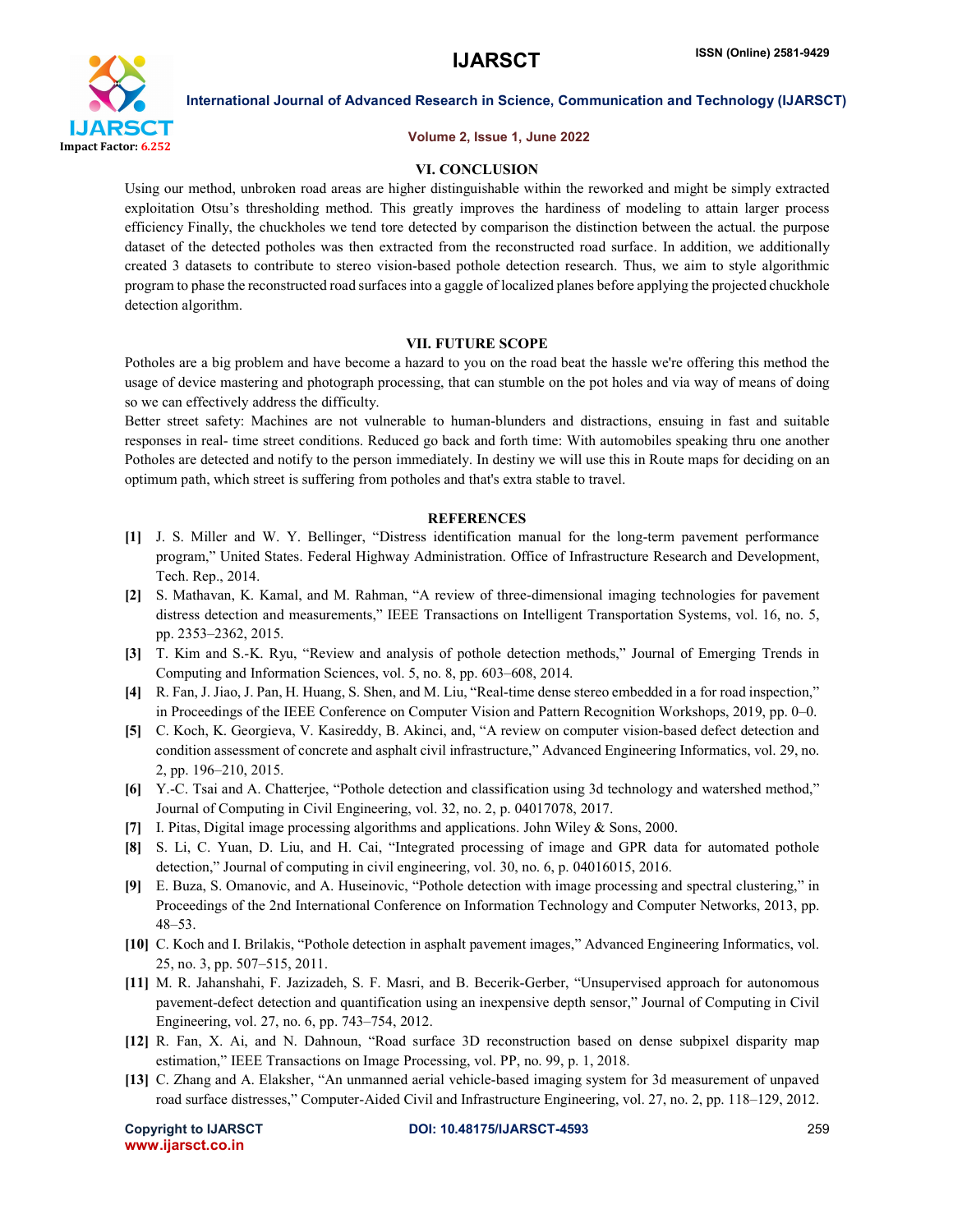

### Volume 2, Issue 1, June 2022

# VI. CONCLUSION

Using our method, unbroken road areas are higher distinguishable within the reworked and might be simply extracted exploitation Otsu's thresholding method. This greatly improves the hardiness of modeling to attain larger process efficiency Finally, the chuckholes we tend tore detected by comparison the distinction between the actual. the purpose dataset of the detected potholes was then extracted from the reconstructed road surface. In addition, we additionally created 3 datasets to contribute to stereo vision-based pothole detection research. Thus, we aim to style algorithmic program to phase the reconstructed road surfacesinto a gaggle of localized planes before applying the projected chuckhole detection algorithm.

# VII. FUTURE SCOPE

Potholes are a big problem and have become a hazard to you on the road beat the hassle we're offering this method the usage of device mastering and photograph processing, that can stumble on the pot holes and via way of means of doing so we can effectively address the difficulty.

Better street safety: Machines are not vulnerable to human-blunders and distractions, ensuing in fast and suitable responses in real- time street conditions. Reduced go back and forth time: With automobiles speaking thru one another Potholes are detected and notify to the person immediately. In destiny we will use this in Route maps for deciding on an optimum path, which street is suffering from potholes and that's extra stable to travel.

# **REFERENCES**

- [1] J. S. Miller and W. Y. Bellinger, "Distress identification manual for the long-term pavement performance program," United States. Federal Highway Administration. Office of Infrastructure Research and Development, Tech. Rep., 2014.
- [2] S. Mathavan, K. Kamal, and M. Rahman, "A review of three-dimensional imaging technologies for pavement distress detection and measurements," IEEE Transactions on Intelligent Transportation Systems, vol. 16, no. 5, pp. 2353–2362, 2015.
- [3] T. Kim and S.-K. Ryu, "Review and analysis of pothole detection methods," Journal of Emerging Trends in Computing and Information Sciences, vol. 5, no. 8, pp. 603–608, 2014.
- [4] R. Fan, J. Jiao, J. Pan, H. Huang, S. Shen, and M. Liu, "Real-time dense stereo embedded in a for road inspection," in Proceedings of the IEEE Conference on Computer Vision and Pattern Recognition Workshops, 2019, pp. 0–0.
- [5] C. Koch, K. Georgieva, V. Kasireddy, B. Akinci, and, "A review on computer vision-based defect detection and condition assessment of concrete and asphalt civil infrastructure," Advanced Engineering Informatics, vol. 29, no. 2, pp. 196–210, 2015.
- [6] Y.-C. Tsai and A. Chatterjee, "Pothole detection and classification using 3d technology and watershed method," Journal of Computing in Civil Engineering, vol. 32, no. 2, p. 04017078, 2017.
- [7] I. Pitas, Digital image processing algorithms and applications. John Wiley & Sons, 2000.
- [8] S. Li, C. Yuan, D. Liu, and H. Cai, "Integrated processing of image and GPR data for automated pothole detection," Journal of computing in civil engineering, vol. 30, no. 6, p. 04016015, 2016.
- [9] E. Buza, S. Omanovic, and A. Huseinovic, "Pothole detection with image processing and spectral clustering," in Proceedings of the 2nd International Conference on Information Technology and Computer Networks, 2013, pp. 48–53.
- [10] C. Koch and I. Brilakis, "Pothole detection in asphalt pavement images," Advanced Engineering Informatics, vol. 25, no. 3, pp. 507–515, 2011.
- [11] M. R. Jahanshahi, F. Jazizadeh, S. F. Masri, and B. Becerik-Gerber, "Unsupervised approach for autonomous pavement-defect detection and quantification using an inexpensive depth sensor," Journal of Computing in Civil Engineering, vol. 27, no. 6, pp. 743–754, 2012.
- [12] R. Fan, X. Ai, and N. Dahnoun, "Road surface 3D reconstruction based on dense subpixel disparity map estimation," IEEE Transactions on Image Processing, vol. PP, no. 99, p. 1, 2018.
- [13] C. Zhang and A. Elaksher, "An unmanned aerial vehicle-based imaging system for 3d measurement of unpaved road surface distresses," Computer-Aided Civil and Infrastructure Engineering, vol. 27, no. 2, pp. 118–129, 2012.